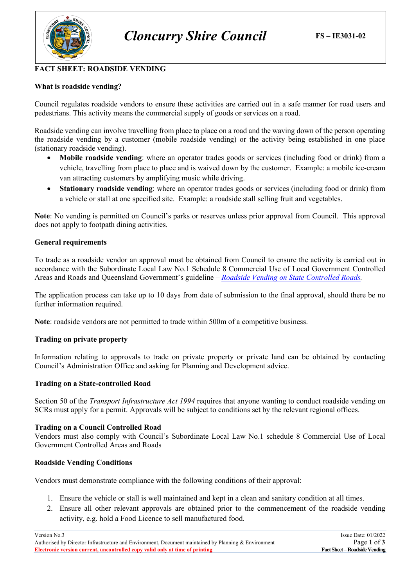

# **FACT SHEET: ROADSIDE VENDING**

## **What is roadside vending?**

Council regulates roadside vendors to ensure these activities are carried out in a safe manner for road users and pedestrians. This activity means the commercial supply of goods or services on a road.

Roadside vending can involve travelling from place to place on a road and the waving down of the person operating the roadside vending by a customer (mobile roadside vending) or the activity being established in one place (stationary roadside vending).

- **Mobile roadside vending**: where an operator trades goods or services (including food or drink) from a vehicle, travelling from place to place and is waived down by the customer. Example: a mobile ice-cream van attracting customers by amplifying music while driving.
- **Stationary roadside vending**: where an operator trades goods or services (including food or drink) from a vehicle or stall at one specified site. Example: a roadside stall selling fruit and vegetables.

**Note**: No vending is permitted on Council's parks or reserves unless prior approval from Council. This approval does not apply to footpath dining activities.

#### **General requirements**

To trade as a roadside vendor an approval must be obtained from Council to ensure the activity is carried out in accordance with the Subordinate Local Law No.1 Schedule 8 Commercial Use of Local Government Controlled Areas and Roads and Queensland Government's guideline – *[Roadside Vending on State Controlled Roads.](file://cloncurry-file01/RedirectedFolders$/jason.alexander/Downloads/Roadside_vending_on_state_roads_guideline.pdf)*

The application process can take up to 10 days from date of submission to the final approval, should there be no further information required.

**Note**: roadside vendors are not permitted to trade within 500m of a competitive business.

### **Trading on private property**

Information relating to approvals to trade on private property or private land can be obtained by contacting Council's Administration Office and asking for Planning and Development advice.

### **Trading on a State-controlled Road**

Section 50 of the *Transport Infrastructure Act 1994* requires that anyone wanting to conduct roadside vending on SCRs must apply for a permit. Approvals will be subject to conditions set by the relevant regional offices.

#### **Trading on a Council Controlled Road**

Vendors must also comply with Council's Subordinate Local Law No.1 schedule 8 Commercial Use of Local Government Controlled Areas and Roads

#### **Roadside Vending Conditions**

Vendors must demonstrate compliance with the following conditions of their approval:

- 1. Ensure the vehicle or stall is well maintained and kept in a clean and sanitary condition at all times.
- 2. Ensure all other relevant approvals are obtained prior to the commencement of the roadside vending activity, e.g. hold a Food Licence to sell manufactured food.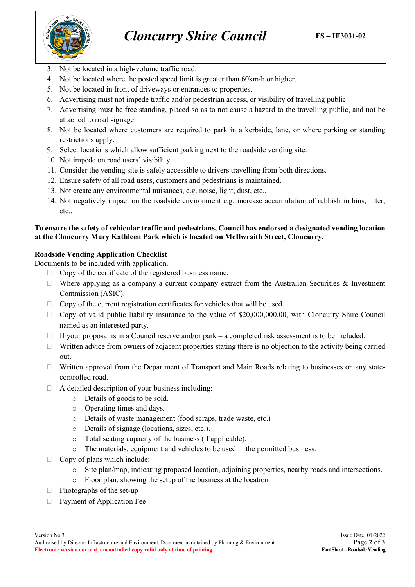

- 3. Not be located in a high-volume traffic road.
- 4. Not be located where the posted speed limit is greater than 60km/h or higher.
- 5. Not be located in front of driveways or entrances to properties.
- 6. Advertising must not impede traffic and/or pedestrian access, or visibility of travelling public.
- 7. Advertising must be free standing, placed so as to not cause a hazard to the travelling public, and not be attached to road signage.
- 8. Not be located where customers are required to park in a kerbside, lane, or where parking or standing restrictions apply.
- 9. Select locations which allow sufficient parking next to the roadside vending site.
- 10. Not impede on road users' visibility.
- 11. Consider the vending site is safely accessible to drivers travelling from both directions.
- 12. Ensure safety of all road users, customers and pedestrians is maintained.
- 13. Not create any environmental nuisances, e.g. noise, light, dust, etc..
- 14. Not negatively impact on the roadside environment e.g. increase accumulation of rubbish in bins, litter, etc..

## **To ensure the safety of vehicular traffic and pedestrians, Council has endorsed a designated vending location at the Cloncurry Mary Kathleen Park which is located on McIlwraith Street, Cloncurry.**

# **Roadside Vending Application Checklist**

Documents to be included with application.

- $\Box$  Copy of the certificate of the registered business name.
- $\Box$  Where applying as a company a current company extract from the Australian Securities & Investment Commission (ASIC).
- $\Box$  Copy of the current registration certificates for vehicles that will be used.
- $\Box$  Copy of valid public liability insurance to the value of \$20,000,000.00, with Cloncurry Shire Council named as an interested party.
- $\Box$  If your proposal is in a Council reserve and/or park a completed risk assessment is to be included.
- $\Box$  Written advice from owners of adjacent properties stating there is no objection to the activity being carried out.
- Written approval from the Department of Transport and Main Roads relating to businesses on any statecontrolled road.
- $\Box$  A detailed description of your business including:
	- o Details of goods to be sold.
	- o Operating times and days.
	- o Details of waste management (food scraps, trade waste, etc.)
	- o Details of signage (locations, sizes, etc.).
	- o Total seating capacity of the business (if applicable).
	- o The materials, equipment and vehicles to be used in the permitted business.
- $\Box$  Copy of plans which include:
	- o Site plan/map, indicating proposed location, adjoining properties, nearby roads and intersections.
	- o Floor plan, showing the setup of the business at the location
- $\Box$  Photographs of the set-up
- **Payment of Application Fee**

Authorised by Director Infrastructure and Environment, Document maintained by Planning & Environment<br>Electronic version current, uncontrolled copy valid only at time of printing Fact Sheet – Roadside Vending